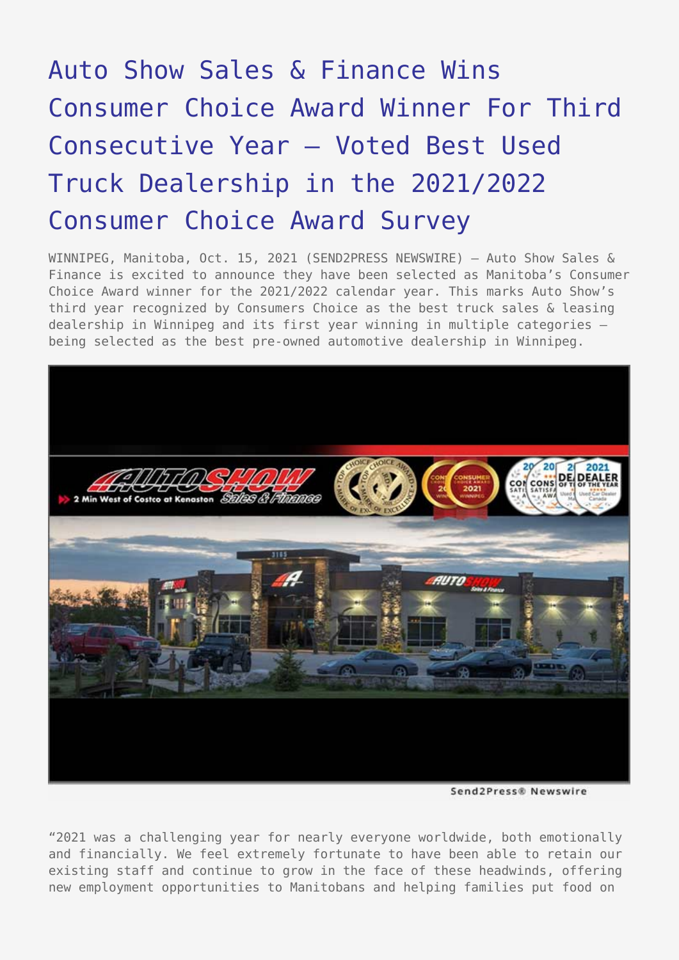## [Auto Show Sales & Finance Wins](https://www.send2press.com/wire/auto-show-sales-finance-wins-top-choice-award-winner-for-third-consecutive-year-voted-best-used-truck-dealership-in-the-2021-top-choice-award-survey/) [Consumer Choice Award Winner For Third](https://www.send2press.com/wire/auto-show-sales-finance-wins-top-choice-award-winner-for-third-consecutive-year-voted-best-used-truck-dealership-in-the-2021-top-choice-award-survey/) [Consecutive Year – Voted Best Used](https://www.send2press.com/wire/auto-show-sales-finance-wins-top-choice-award-winner-for-third-consecutive-year-voted-best-used-truck-dealership-in-the-2021-top-choice-award-survey/) [Truck Dealership in the 2021/2022](https://www.send2press.com/wire/auto-show-sales-finance-wins-top-choice-award-winner-for-third-consecutive-year-voted-best-used-truck-dealership-in-the-2021-top-choice-award-survey/) [Consumer Choice Award Survey](https://www.send2press.com/wire/auto-show-sales-finance-wins-top-choice-award-winner-for-third-consecutive-year-voted-best-used-truck-dealership-in-the-2021-top-choice-award-survey/)

WINNIPEG, Manitoba, Oct. 15, 2021 (SEND2PRESS NEWSWIRE) - Auto Show Sales & Finance is excited to announce they have been selected as Manitoba's Consumer Choice Award winner for the 2021/2022 calendar year. This marks Auto Show's third year recognized by Consumers Choice as the best truck sales & leasing dealership in Winnipeg and its first year winning in multiple categories – being selected as the best pre-owned automotive dealership in Winnipeg.



Send2Press® Newswire

"2021 was a challenging year for nearly everyone worldwide, both emotionally and financially. We feel extremely fortunate to have been able to retain our existing staff and continue to grow in the face of these headwinds, offering new employment opportunities to Manitobans and helping families put food on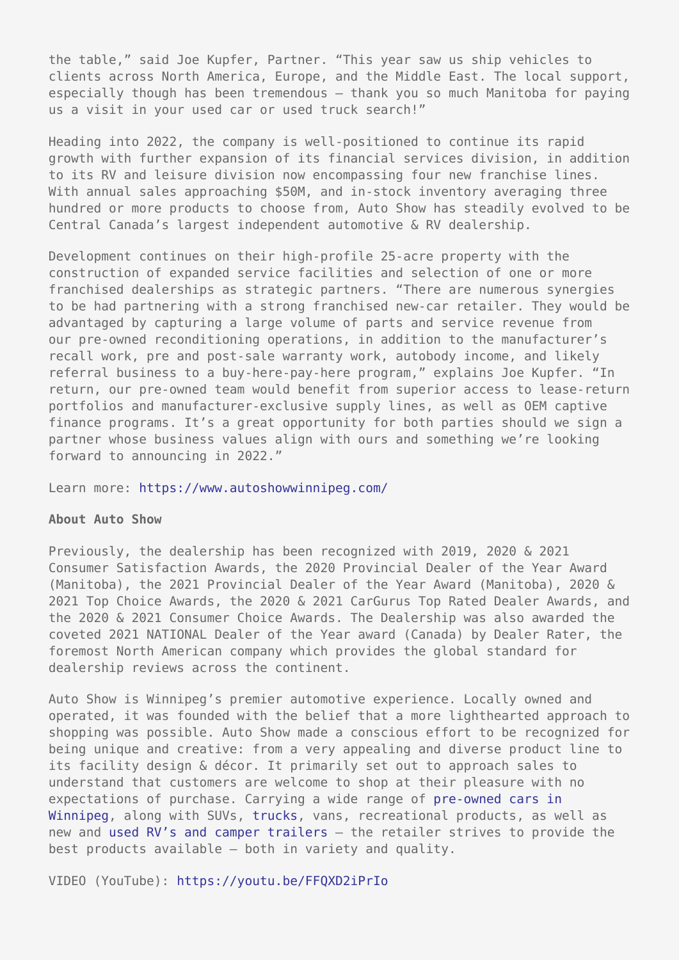the table," said Joe Kupfer, Partner. "This year saw us ship vehicles to clients across North America, Europe, and the Middle East. The local support, especially though has been tremendous – thank you so much Manitoba for paying us a visit in your used car or used truck search!"

Heading into 2022, the company is well-positioned to continue its rapid growth with further expansion of its financial services division, in addition to its RV and leisure division now encompassing four new franchise lines. With annual sales approaching \$50M, and in-stock inventory averaging three hundred or more products to choose from, Auto Show has steadily evolved to be Central Canada's largest independent automotive & RV dealership.

Development continues on their high-profile 25-acre property with the construction of expanded service facilities and selection of one or more franchised dealerships as strategic partners. "There are numerous synergies to be had partnering with a strong franchised new-car retailer. They would be advantaged by capturing a large volume of parts and service revenue from our pre-owned reconditioning operations, in addition to the manufacturer's recall work, pre and post-sale warranty work, autobody income, and likely referral business to a buy-here-pay-here program," explains Joe Kupfer. "In return, our pre-owned team would benefit from superior access to lease-return portfolios and manufacturer-exclusive supply lines, as well as OEM captive finance programs. It's a great opportunity for both parties should we sign a partner whose business values align with ours and something we're looking forward to announcing in 2022."

Learn more: <https://www.autoshowwinnipeg.com/>

## **About Auto Show**

Previously, the dealership has been recognized with 2019, 2020 & 2021 Consumer Satisfaction Awards, the 2020 Provincial Dealer of the Year Award (Manitoba), the 2021 Provincial Dealer of the Year Award (Manitoba), 2020 & 2021 Top Choice Awards, the 2020 & 2021 CarGurus Top Rated Dealer Awards, and the 2020 & 2021 Consumer Choice Awards. The Dealership was also awarded the coveted 2021 NATIONAL Dealer of the Year award (Canada) by Dealer Rater, the foremost North American company which provides the global standard for dealership reviews across the continent.

Auto Show is Winnipeg's premier automotive experience. Locally owned and operated, it was founded with the belief that a more lighthearted approach to shopping was possible. Auto Show made a conscious effort to be recognized for being unique and creative: from a very appealing and diverse product line to its facility design & décor. It primarily set out to approach sales to understand that customers are welcome to shop at their pleasure with no expectations of purchase. Carrying a wide range of [pre-owned cars in](https://www.autoshowwinnipeg.com/used-cars-winnipeg/) [Winnipeg](https://www.autoshowwinnipeg.com/used-cars-winnipeg/), along with SUVs, [trucks](https://www.autoshowwinnipeg.com/used-trucks-winnipeg/), vans, recreational products, as well as new and [used RV's and camper trailers](https://www.autoshowwinnipeg.com/new-used-rvs-winnipeg/) – the retailer strives to provide the best products available – both in variety and quality.

VIDEO (YouTube):<https://youtu.be/FFQXD2iPrIo>